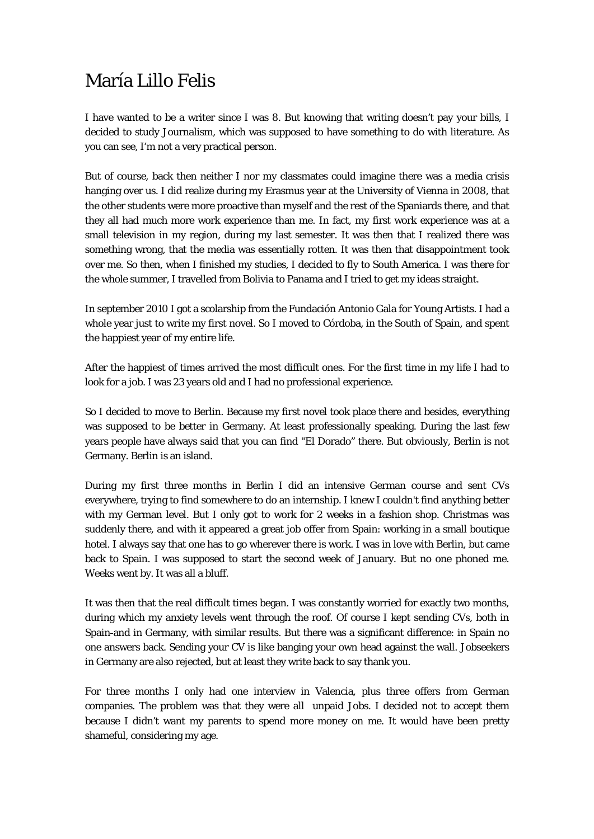## María Lillo Felis

I have wanted to be a writer since I was 8. But knowing that writing doesn't pay your bills, I decided to study Journalism, which was supposed to have something to do with literature. As you can see, I'm not a very practical person.

But of course, back then neither I nor my classmates could imagine there was a media crisis hanging over us. I did realize during my Erasmus year at the University of Vienna in 2008, that the other students were more proactive than myself and the rest of the Spaniards there, and that they all had much more work experience than me. In fact, my first work experience was at a small television in my region, during my last semester. It was then that I realized there was something wrong, that the media was essentially rotten. It was then that disappointment took over me. So then, when I finished my studies, I decided to fly to South America. I was there for the whole summer, I travelled from Bolivia to Panama and I tried to get my ideas straight.

In september 2010 I got a scolarship from the Fundación Antonio Gala for Young Artists. I had a whole year just to write my first novel. So I moved to Córdoba, in the South of Spain, and spent the happiest year of my entire life.

After the happiest of times arrived the most difficult ones. For the first time in my life I had to look for a job. I was 23 years old and I had no professional experience.

So I decided to move to Berlin. Because my first novel took place there and besides, everything was supposed to be better in Germany. At least professionally speaking. During the last few years people have always said that you can find "El Dorado" there. But obviously, Berlin is not Germany. Berlin is an island.

During my first three months in Berlin I did an intensive German course and sent CVs everywhere, trying to find somewhere to do an internship. I knew I couldn't find anything better with my German level. But I only got to work for 2 weeks in a fashion shop. Christmas was suddenly there, and with it appeared a great job offer from Spain: working in a small boutique hotel. I always say that one has to go wherever there is work. I was in love with Berlin, but came back to Spain. I was supposed to start the second week of January. But no one phoned me. Weeks went by. It was all a bluff.

It was then that the real difficult times began. I was constantly worried for exactly two months, during which my anxiety levels went through the roof. Of course I kept sending CVs, both in Spain and in Germany, with similar results. But there was a significant difference: in Spain no one answers back. Sending your CV is like banging your own head against the wall. Jobseekers in Germany are also rejected, but at least they write back to say thank you.

For three months I only had one interview in Valencia, plus three offers from German companies. The problem was that they were all unpaid Jobs. I decided not to accept them because I didn't want my parents to spend more money on me. It would have been pretty shameful, considering my age.